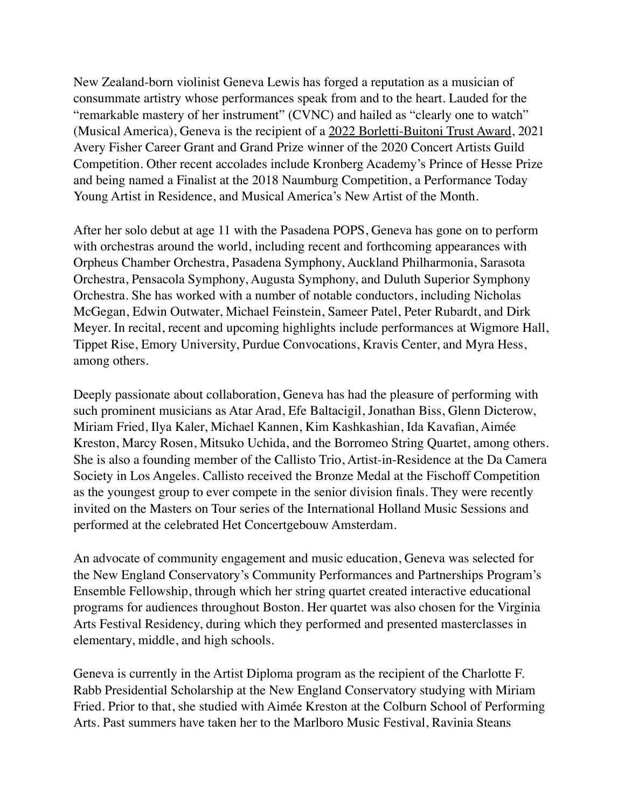New Zealand-born violinist Geneva Lewis has forged a reputation as a musician of consummate artistry whose performances speak from and to the heart. Lauded for the "remarkable mastery of her instrument" (CVNC) and hailed as "clearly one to watch" (Musical America), Geneva is the recipient of a 2022 Borletti-Buitoni Trust Award, 2021 Avery Fisher Career Grant and Grand Prize winner of the 2020 Concert Artists Guild Competition. Other recent accolades include Kronberg Academy's Prince of Hesse Prize and being named a Finalist at the 2018 Naumburg Competition, a Performance Today Young Artist in Residence, and Musical America's New Artist of the Month.

After her solo debut at age 11 with the Pasadena POPS, Geneva has gone on to perform with orchestras around the world, including recent and forthcoming appearances with Orpheus Chamber Orchestra, Pasadena Symphony, Auckland Philharmonia, Sarasota Orchestra, Pensacola Symphony, Augusta Symphony, and Duluth Superior Symphony Orchestra. She has worked with a number of notable conductors, including Nicholas McGegan, Edwin Outwater, Michael Feinstein, Sameer Patel, Peter Rubardt, and Dirk Meyer. In recital, recent and upcoming highlights include performances at Wigmore Hall, Tippet Rise, Emory University, Purdue Convocations, Kravis Center, and Myra Hess, among others.

Deeply passionate about collaboration, Geneva has had the pleasure of performing with such prominent musicians as Atar Arad, Efe Baltacigil, Jonathan Biss, Glenn Dicterow, Miriam Fried, Ilya Kaler, Michael Kannen, Kim Kashkashian, Ida Kavafian, Aimée Kreston, Marcy Rosen, Mitsuko Uchida, and the Borromeo String Quartet, among others. She is also a founding member of the Callisto Trio, Artist-in-Residence at the Da Camera Society in Los Angeles. Callisto received the Bronze Medal at the Fischoff Competition as the youngest group to ever compete in the senior division finals. They were recently invited on the Masters on Tour series of the International Holland Music Sessions and performed at the celebrated Het Concertgebouw Amsterdam.

An advocate of community engagement and music education, Geneva was selected for the New England Conservatory's Community Performances and Partnerships Program's Ensemble Fellowship, through which her string quartet created interactive educational programs for audiences throughout Boston. Her quartet was also chosen for the Virginia Arts Festival Residency, during which they performed and presented masterclasses in elementary, middle, and high schools.

Geneva is currently in the Artist Diploma program as the recipient of the Charlotte F. Rabb Presidential Scholarship at the New England Conservatory studying with Miriam Fried. Prior to that, she studied with Aimée Kreston at the Colburn School of Performing Arts. Past summers have taken her to the Marlboro Music Festival, Ravinia Steans